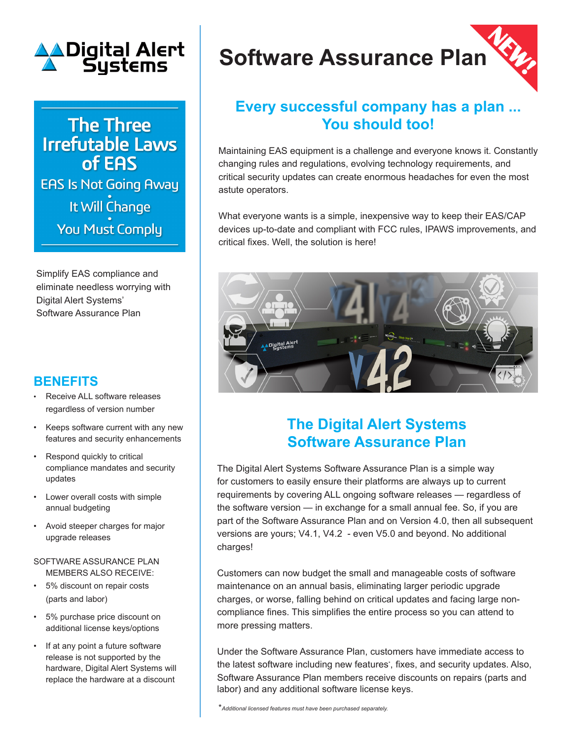

**The Three Irrefutable Laws** of EAS **EAS Is Not Going Away** It Will Change **You Must Comply** 

Simplify EAS compliance and eliminate needless worrying with Digital Alert Systems' Software Assurance Plan

## **BENEFITS**

- Receive ALL software releases regardless of version number
- Keeps software current with any new features and security enhancements
- Respond quickly to critical compliance mandates and security updates
- Lower overall costs with simple annual budgeting
- Avoid steeper charges for major upgrade releases

## SOFTWARE ASSURANCE PLAN MEMBERS ALSO RECEIVE:

- 5% discount on repair costs (parts and labor)
- 5% purchase price discount on additional license keys/options
- If at any point a future software release is not supported by the hardware, Digital Alert Systems will replace the hardware at a discount

# **Software Assurance Plan**

## **Every successful company has a plan ... You should too!**

Maintaining EAS equipment is a challenge and everyone knows it. Constantly changing rules and regulations, evolving technology requirements, and critical security updates can create enormous headaches for even the most astute operators.

What everyone wants is a simple, inexpensive way to keep their EAS/CAP devices up-to-date and compliant with FCC rules, IPAWS improvements, and critical fixes. Well, the solution is here!



# **The Digital Alert Systems Software Assurance Plan**

The Digital Alert Systems Software Assurance Plan is a simple way for customers to easily ensure their platforms are always up to current requirements by covering ALL ongoing software releases — regardless of the software version — in exchange for a small annual fee. So, if you are part of the Software Assurance Plan and on Version 4.0, then all subsequent versions are yours; V4.1, V4.2 - even V5.0 and beyond. No additional charges!

Customers can now budget the small and manageable costs of software maintenance on an annual basis, eliminating larger periodic upgrade charges, or worse, falling behind on critical updates and facing large noncompliance fines. This simplifies the entire process so you can attend to more pressing matters.

Under the Software Assurance Plan, customers have immediate access to the latest software including new features\* , fixes, and security updates. Also, Software Assurance Plan members receive discounts on repairs (parts and labor) and any additional software license keys.